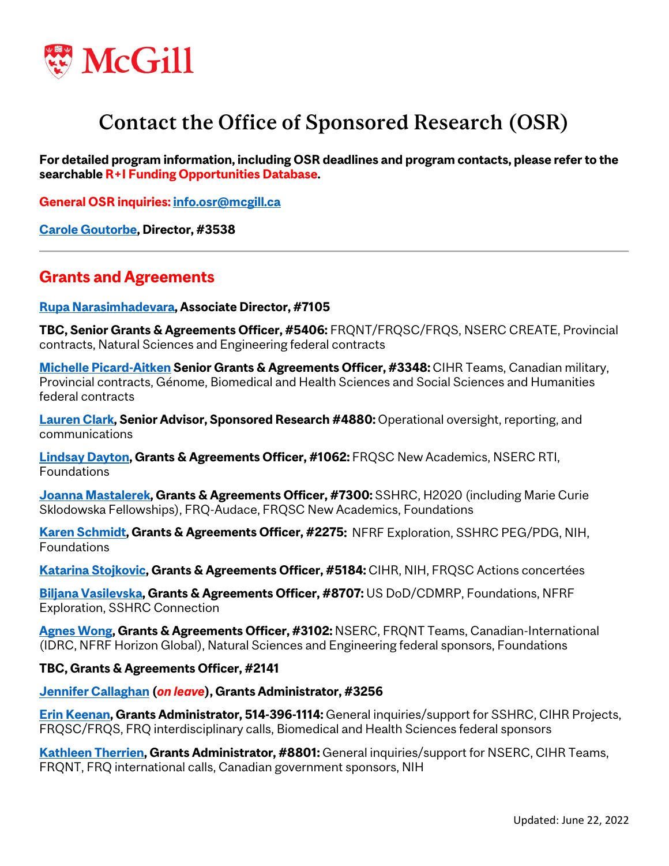

# Contact the Office of Sponsored Research (OSR)

**For detailed program information, including OSR deadlines and program contacts, please refer to the [searchable R+I Funding Opportunities Database.](https://fundingopps-osr.research.mcgill.ca/)**

**General OSR inquiries[: info.osr@mcgill.ca](mailto:info.osr@mcgill.ca)**

**[Carole Goutorbe,](mailto:%20carole.goutorbe@mcgill.ca) Director, #3538**

### **Grants and Agreements**

**[Rupa Narasimhadevara,](mailto:rupa.narasimhadevara@mcgill.ca) Associate Director, #7105**

**TBC, Senior Grants & Agreements Officer, #5406:** FRQNT/FRQSC/FRQS, NSERC CREATE, Provincial contracts, Natural Sciences and Engineering federal contracts

**[Michelle Picard-Aitken](mailto:%20michelle.picard-aitken@mcgill.ca) Senior Grants & Agreements Officer, #3348:** CIHR Teams, Canadian military, Provincial contracts, Génome, Biomedical and Health Sciences and Social Sciences and Humanities federal contracts

**[Lauren Clark,](mailto:lauren.clark@mcgill.ca) Senior Advisor, Sponsored Research #4880:** Operational oversight, reporting, and communications

**[Lindsay Dayton,](mailto:%20lindsay.dayton@mcgill.ca) Grants & Agreements Officer, #1062:** FRQSC New Academics, NSERC RTI, Foundations

**[Joanna Mastalerek,](mailto:joanna.mastalerek@mcgill.ca) Grants & Agreements Officer, #7300:** SSHRC, H2020 (including Marie Curie Sklodowska Fellowships), FRQ-Audace, FRQSC New Academics, Foundations

**[Karen Schmidt,](mailto:%20karen.schmidt@mcgill.ca) Grants & Agreements Officer, #2275:** NFRF Exploration, SSHRC PEG/PDG, NIH, Foundations

**[Katarina Stojkovic,](mailto:%20katarina.stojkovic@mcgill.ca) Grants & Agreements Officer, #5184:** CIHR, NIH, FRQSC Actions concertées

**[Biljana Vasilevska,](mailto:%20biljana.vasilevska@mcgill.ca) Grants & Agreements Officer, #8707:** US DoD/CDMRP, Foundations, NFRF Exploration, SSHRC Connection

**[Agnes Wong,](mailto:agnes.wong2@mcgill.ca) Grants & Agreements Officer, #3102:** NSERC, FRQNT Teams, Canadian-International (IDRC, NFRF Horizon Global), Natural Sciences and Engineering federal sponsors, Foundations

#### **TBC, Grants & Agreements Officer, #2141**

**[Jennifer Callaghan](mailto:jennifer.callaghan@mcgill.ca) (***on leave***), Grants Administrator, #3256**

**[Erin Keenan,](mailto:%20erin.keenan@mcgill.ca) Grants Administrator, 514-396-1114:** General inquiries/support for SSHRC, CIHR Projects, FRQSC/FRQS, FRQ interdisciplinary calls, Biomedical and Health Sciences federal sponsors

**[Kathleen Therrien,](mailto:%20kathleen.therrien@mcgill.ca) Grants Administrator, #8801:** General inquiries/support for NSERC, CIHR Teams, FRQNT, FRQ international calls, Canadian government sponsors, NIH